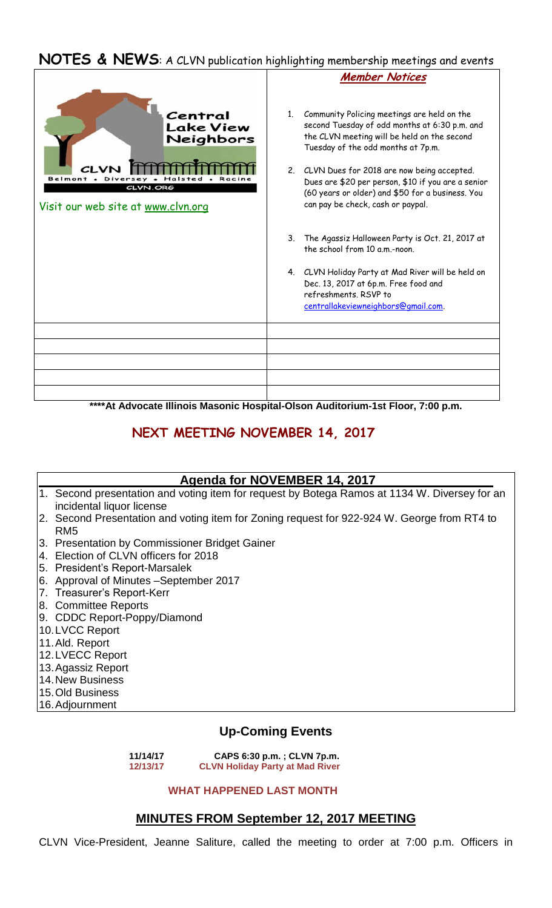## **NOTES & NEWS**: A CLVN publication highlighting membership meetings and events



**\*\*\*\*At Advocate Illinois Masonic Hospital-Olson Auditorium-1st Floor, 7:00 p.m.**

# **NEXT MEETING NOVEMBER 14, 2017**

### **Agenda for NOVEMBER 14, 2017**

- 1. Second presentation and voting item for request by Botega Ramos at 1134 W. Diversey for an incidental liquor license
- 2. Second Presentation and voting item for Zoning request for 922-924 W. George from RT4 to RM5
- 3. Presentation by Commissioner Bridget Gainer
- 4. Election of CLVN officers for 2018
- 5. President's Report-Marsalek
- 6. Approval of Minutes –September 2017
- 7. Treasurer's Report-Kerr
- 8. Committee Reports
- 9. CDDC Report-Poppy/Diamond
- 10.LVCC Report
- 11.Ald. Report
- 12.LVECC Report
- 13.Agassiz Report
- 14.New Business
- 15.Old Business
- 16.Adjournment

## **Up-Coming Events**

 **11/14/17 CAPS 6:30 p.m. ; CLVN 7p.m. CLVN Holiday Party at Mad River** 

#### **WHAT HAPPENED LAST MONTH**

### **MINUTES FROM September 12, 2017 MEETING**

CLVN Vice-President, Jeanne Saliture, called the meeting to order at 7:00 p.m. Officers in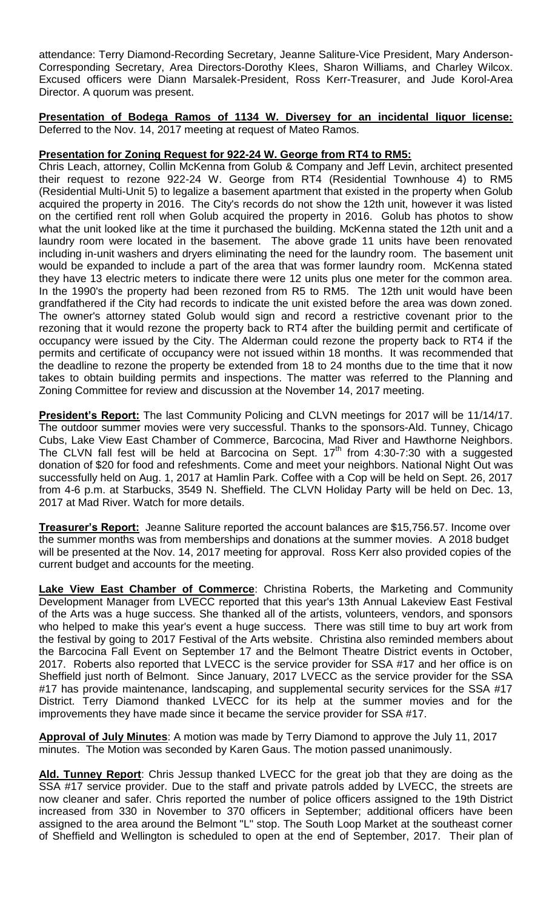attendance: Terry Diamond-Recording Secretary, Jeanne Saliture-Vice President, Mary Anderson-Corresponding Secretary, Area Directors-Dorothy Klees, Sharon Williams, and Charley Wilcox. Excused officers were Diann Marsalek-President, Ross Kerr-Treasurer, and Jude Korol-Area Director. A quorum was present.

**Presentation of Bodega Ramos of 1134 W. Diversey for an incidental liquor license:**  Deferred to the Nov. 14, 2017 meeting at request of Mateo Ramos.

### **Presentation for Zoning Request for 922-24 W. George from RT4 to RM5:**

Chris Leach, attorney, Collin McKenna from Golub & Company and Jeff Levin, architect presented their request to rezone 922-24 W. George from RT4 (Residential Townhouse 4) to RM5 (Residential Multi-Unit 5) to legalize a basement apartment that existed in the property when Golub acquired the property in 2016. The City's records do not show the 12th unit, however it was listed on the certified rent roll when Golub acquired the property in 2016. Golub has photos to show what the unit looked like at the time it purchased the building. McKenna stated the 12th unit and a laundry room were located in the basement. The above grade 11 units have been renovated including in-unit washers and dryers eliminating the need for the laundry room. The basement unit would be expanded to include a part of the area that was former laundry room. McKenna stated they have 13 electric meters to indicate there were 12 units plus one meter for the common area. In the 1990's the property had been rezoned from R5 to RM5. The 12th unit would have been grandfathered if the City had records to indicate the unit existed before the area was down zoned. The owner's attorney stated Golub would sign and record a restrictive covenant prior to the rezoning that it would rezone the property back to RT4 after the building permit and certificate of occupancy were issued by the City. The Alderman could rezone the property back to RT4 if the permits and certificate of occupancy were not issued within 18 months. It was recommended that the deadline to rezone the property be extended from 18 to 24 months due to the time that it now takes to obtain building permits and inspections. The matter was referred to the Planning and Zoning Committee for review and discussion at the November 14, 2017 meeting.

**President's Report:** The last Community Policing and CLVN meetings for 2017 will be 11/14/17. The outdoor summer movies were very successful. Thanks to the sponsors-Ald. Tunney, Chicago Cubs, Lake View East Chamber of Commerce, Barcocina, Mad River and Hawthorne Neighbors. The CLVN fall fest will be held at Barcocina on Sept.  $17<sup>th</sup>$  from 4:30-7:30 with a suggested donation of \$20 for food and refeshments. Come and meet your neighbors. National Night Out was successfully held on Aug. 1, 2017 at Hamlin Park. Coffee with a Cop will be held on Sept. 26, 2017 from 4-6 p.m. at Starbucks, 3549 N. Sheffield. The CLVN Holiday Party will be held on Dec. 13, 2017 at Mad River. Watch for more details.

**Treasurer's Report:** Jeanne Saliture reported the account balances are \$15,756.57. Income over the summer months was from memberships and donations at the summer movies. A 2018 budget will be presented at the Nov. 14, 2017 meeting for approval. Ross Kerr also provided copies of the current budget and accounts for the meeting.

**Lake View East Chamber of Commerce**: Christina Roberts, the Marketing and Community Development Manager from LVECC reported that this year's 13th Annual Lakeview East Festival of the Arts was a huge success. She thanked all of the artists, volunteers, vendors, and sponsors who helped to make this year's event a huge success. There was still time to buy art work from the festival by going to 2017 Festival of the Arts website. Christina also reminded members about the Barcocina Fall Event on September 17 and the Belmont Theatre District events in October, 2017. Roberts also reported that LVECC is the service provider for SSA #17 and her office is on Sheffield just north of Belmont. Since January, 2017 LVECC as the service provider for the SSA #17 has provide maintenance, landscaping, and supplemental security services for the SSA #17 District. Terry Diamond thanked LVECC for its help at the summer movies and for the improvements they have made since it became the service provider for SSA #17.

**Approval of July Minutes**: A motion was made by Terry Diamond to approve the July 11, 2017 minutes. The Motion was seconded by Karen Gaus. The motion passed unanimously.

**Ald. Tunney Report**: Chris Jessup thanked LVECC for the great job that they are doing as the SSA #17 service provider. Due to the staff and private patrols added by LVECC, the streets are now cleaner and safer. Chris reported the number of police officers assigned to the 19th District increased from 330 in November to 370 officers in September; additional officers have been assigned to the area around the Belmont "L" stop. The South Loop Market at the southeast corner of Sheffield and Wellington is scheduled to open at the end of September, 2017. Their plan of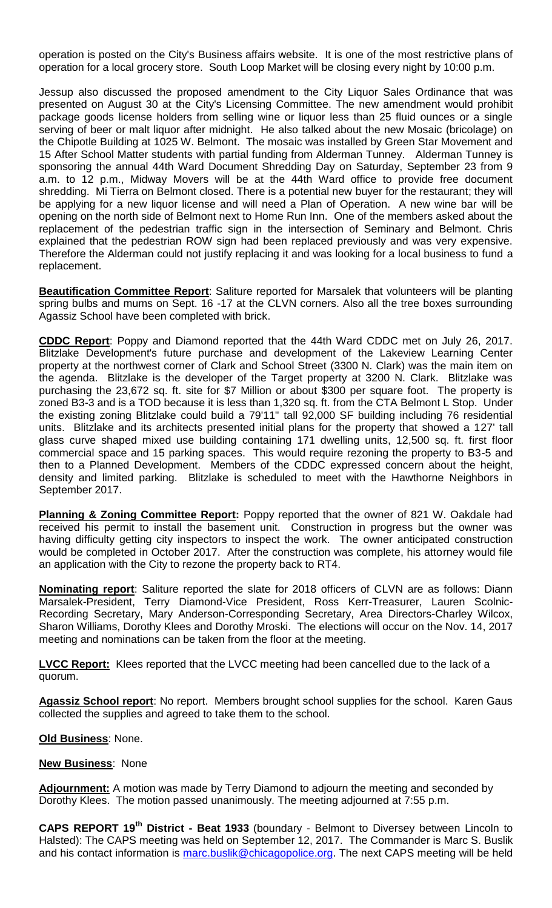operation is posted on the City's Business affairs website. It is one of the most restrictive plans of operation for a local grocery store. South Loop Market will be closing every night by 10:00 p.m.

Jessup also discussed the proposed amendment to the City Liquor Sales Ordinance that was presented on August 30 at the City's Licensing Committee. The new amendment would prohibit package goods license holders from selling wine or liquor less than 25 fluid ounces or a single serving of beer or malt liquor after midnight. He also talked about the new Mosaic (bricolage) on the Chipotle Building at 1025 W. Belmont. The mosaic was installed by Green Star Movement and 15 After School Matter students with partial funding from Alderman Tunney. Alderman Tunney is sponsoring the annual 44th Ward Document Shredding Day on Saturday, September 23 from 9 a.m. to 12 p.m., Midway Movers will be at the 44th Ward office to provide free document shredding. Mi Tierra on Belmont closed. There is a potential new buyer for the restaurant; they will be applying for a new liquor license and will need a Plan of Operation. A new wine bar will be opening on the north side of Belmont next to Home Run Inn. One of the members asked about the replacement of the pedestrian traffic sign in the intersection of Seminary and Belmont. Chris explained that the pedestrian ROW sign had been replaced previously and was very expensive. Therefore the Alderman could not justify replacing it and was looking for a local business to fund a replacement.

**Beautification Committee Report**: Saliture reported for Marsalek that volunteers will be planting spring bulbs and mums on Sept. 16 -17 at the CLVN corners. Also all the tree boxes surrounding Agassiz School have been completed with brick.

**CDDC Report**: Poppy and Diamond reported that the 44th Ward CDDC met on July 26, 2017. Blitzlake Development's future purchase and development of the Lakeview Learning Center property at the northwest corner of Clark and School Street (3300 N. Clark) was the main item on the agenda. Blitzlake is the developer of the Target property at 3200 N. Clark. Blitzlake was purchasing the 23,672 sq. ft. site for \$7 Million or about \$300 per square foot. The property is zoned B3-3 and is a TOD because it is less than 1,320 sq. ft. from the CTA Belmont L Stop. Under the existing zoning Blitzlake could build a 79'11" tall 92,000 SF building including 76 residential units. Blitzlake and its architects presented initial plans for the property that showed a 127' tall glass curve shaped mixed use building containing 171 dwelling units, 12,500 sq. ft. first floor commercial space and 15 parking spaces. This would require rezoning the property to B3-5 and then to a Planned Development. Members of the CDDC expressed concern about the height, density and limited parking. Blitzlake is scheduled to meet with the Hawthorne Neighbors in September 2017.

**Planning & Zoning Committee Report:** Poppy reported that the owner of 821 W. Oakdale had received his permit to install the basement unit. Construction in progress but the owner was having difficulty getting city inspectors to inspect the work. The owner anticipated construction would be completed in October 2017. After the construction was complete, his attorney would file an application with the City to rezone the property back to RT4.

**Nominating report**: Saliture reported the slate for 2018 officers of CLVN are as follows: Diann Marsalek-President, Terry Diamond-Vice President, Ross Kerr-Treasurer, Lauren Scolnic-Recording Secretary, Mary Anderson-Corresponding Secretary, Area Directors-Charley Wilcox, Sharon Williams, Dorothy Klees and Dorothy Mroski. The elections will occur on the Nov. 14, 2017 meeting and nominations can be taken from the floor at the meeting.

**LVCC Report:** Klees reported that the LVCC meeting had been cancelled due to the lack of a quorum.

**Agassiz School report**: No report. Members brought school supplies for the school. Karen Gaus collected the supplies and agreed to take them to the school.

**Old Business**: None.

#### **New Business**: None

**Adjournment:** A motion was made by Terry Diamond to adjourn the meeting and seconded by Dorothy Klees. The motion passed unanimously. The meeting adjourned at 7:55 p.m.

**CAPS REPORT 19th District - Beat 1933** (boundary - Belmont to Diversey between Lincoln to Halsted): The CAPS meeting was held on September 12, 2017. The Commander is Marc S. Buslik and his contact information is [marc.buslik@chicagopolice.org.](mailto:marc.buslik@chicagopolice.org) The next CAPS meeting will be held